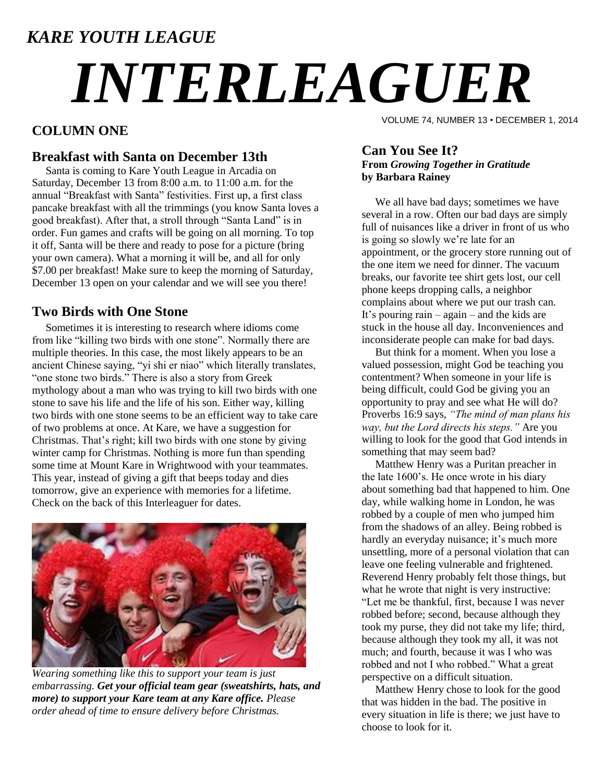### *KARE YOUTH LEAGUE*

# *INTERLEAGUER*

#### **COLUMN ONE**

#### **Breakfast with Santa on December 13th**

 Santa is coming to Kare Youth League in Arcadia on Saturday, December 13 from 8:00 a.m. to 11:00 a.m. for the annual "Breakfast with Santa" festivities. First up, a first class pancake breakfast with all the trimmings (you know Santa loves a good breakfast). After that, a stroll through "Santa Land" is in order. Fun games and crafts will be going on all morning. To top it off, Santa will be there and ready to pose for a picture (bring your own camera). What a morning it will be, and all for only \$7.00 per breakfast! Make sure to keep the morning of Saturday, December 13 open on your calendar and we will see you there!

#### **Two Birds with One Stone**

 Sometimes it is interesting to research where idioms come from like "killing two birds with one stone". Normally there are multiple theories. In this case, the most likely appears to be an ancient Chinese saying, "yi shi er niao" which literally translates, "one stone two birds." There is also a story from Greek mythology about a man who was trying to kill two birds with one stone to save his life and the life of his son. Either way, killing two birds with one stone seems to be an efficient way to take care of two problems at once. At Kare, we have a suggestion for Christmas. That's right; kill two birds with one stone by giving winter camp for Christmas. Nothing is more fun than spending some time at Mount Kare in Wrightwood with your teammates. This year, instead of giving a gift that beeps today and dies tomorrow, give an experience with memories for a lifetime. Check on the back of this Interleaguer for dates.



*Wearing something like this to support your team is just embarrassing. Get your official team gear (sweatshirts, hats, and more) to support your Kare team at any Kare office. Please order ahead of time to ensure delivery before Christmas.*

VOLUME 74, NUMBER 13 • DECEMBER 1, 2014

#### **Can You See It? From** *Growing Together in Gratitude* **by Barbara Rainey**

 We all have bad days; sometimes we have several in a row. Often our bad days are simply full of nuisances like a driver in front of us who is going so slowly we're late for an appointment, or the grocery store running out of the one item we need for dinner. The vacuum breaks, our favorite tee shirt gets lost, our cell phone keeps dropping calls, a neighbor complains about where we put our trash can. It's pouring rain – again – and the kids are stuck in the house all day. Inconveniences and inconsiderate people can make for bad days.

 But think for a moment. When you lose a valued possession, might God be teaching you contentment? When someone in your life is being difficult, could God be giving you an opportunity to pray and see what He will do? Proverbs 16:9 says, *"The mind of man plans his way, but the Lord directs his steps."* Are you willing to look for the good that God intends in something that may seem bad?

 Matthew Henry was a Puritan preacher in the late 1600's. He once wrote in his diary about something bad that happened to him. One day, while walking home in London, he was robbed by a couple of men who jumped him from the shadows of an alley. Being robbed is hardly an everyday nuisance; it's much more unsettling, more of a personal violation that can leave one feeling vulnerable and frightened. Reverend Henry probably felt those things, but what he wrote that night is very instructive: "Let me be thankful, first, because I was never robbed before; second, because although they took my purse, they did not take my life; third, because although they took my all, it was not much; and fourth, because it was I who was robbed and not I who robbed." What a great perspective on a difficult situation.

 Matthew Henry chose to look for the good that was hidden in the bad. The positive in every situation in life is there; we just have to choose to look for it.